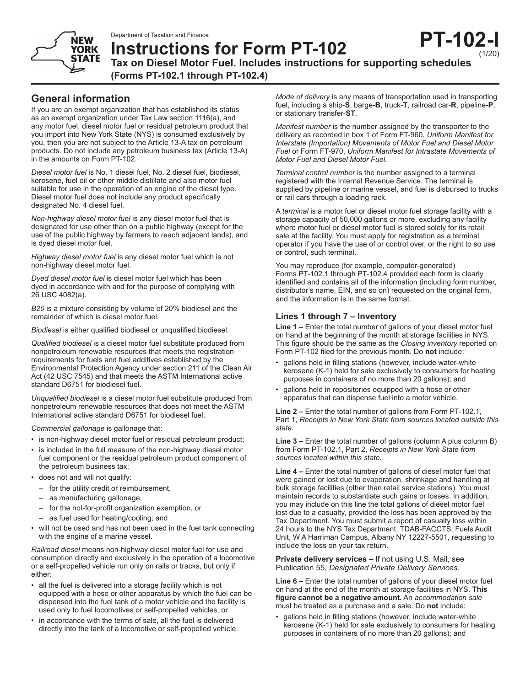

**Instructions for Form PT-102 Tax on Diesel Motor Fuel. Includes instructions for supporting schedules (Forms PT-102.1 through PT-102.4)**

**YORK STATE** 

If you are an exempt organization that has established its status as an exempt organization under Tax Law section 1116(a), and any motor fuel, diesel motor fuel or residual petroleum product that you import into New York State (NYS) is consumed exclusively by you, then you are not subject to the Article 13-A tax on petroleum products*.* Do not include any petroleum business tax (Article 13-A) in the amounts on Form PT-102.

*Diesel motor fuel* is No. 1 diesel fuel, No. 2 diesel fuel, biodiesel, kerosene, fuel oil or other middle distillate and also motor fuel suitable for use in the operation of an engine of the diesel type. Diesel motor fuel does not include any product specifically designated No. 4 diesel fuel.

*Non-highway diesel motor fuel* is any diesel motor fuel that is designated for use other than on a public highway (except for the use of the public highway by farmers to reach adjacent lands), and is dyed diesel motor fuel.

*Highway diesel motor fuel* is any diesel motor fuel which is not non-highway diesel motor fuel.

*Dyed diesel motor fuel* is diesel motor fuel which has been dyed in accordance with and for the purpose of complying with 26 USC 4082(a).

*B20* is a mixture consisting by volume of 20% biodiesel and the remainder of which is diesel motor fuel.

*Biodiesel* is either qualified biodiesel or unqualified biodiesel.

*Qualified biodiesel* is a diesel motor fuel substitute produced from nonpetroleum renewable resources that meets the registration requirements for fuels and fuel additives established by the Environmental Protection Agency under section 211 of the Clean Air Act (42 USC 7545) and that meets the ASTM International active standard D6751 for biodiesel fuel.

*Unqualified biodiesel* is a diesel motor fuel substitute produced from nonpetroleum renewable resources that does not meet the ASTM International active standard D6751 for biodiesel fuel.

*Commercial gallonage* is gallonage that:

- is non-highway diesel motor fuel or residual petroleum product;
- is included in the full measure of the non-highway diesel motor fuel component or the residual petroleum product component of the petroleum business tax;
- does not and will not qualify:
	- for the utility credit or reimbursement,
	- as manufacturing gallonage,
	- for the not-for-profit organization exemption, or
	- as fuel used for heating/cooling; and
- will not be used and has not been used in the fuel tank connecting with the engine of a marine vessel.

*Railroad diesel* means non-highway diesel motor fuel for use and consumption directly and exclusively in the operation of a locomotive or a self-propelled vehicle run only on rails or tracks, but only if either:

- all the fuel is delivered into a storage facility which is not equipped with a hose or other apparatus by which the fuel can be dispensed into the fuel tank of a motor vehicle and the facility is used only to fuel locomotives or self-propelled vehicles, or
- in accordance with the terms of sale, all the fuel is delivered directly into the tank of a locomotive or self-propelled vehicle.

*Mode of delivery* is any means of transportation used in transporting fuel, including a ship-**S**, barge-**B**, truck-**T**, railroad car-**R**, pipeline-**P**, or stationary transfer-**ST**.

*Manifest number* is the number assigned by the transporter to the delivery as recorded in box 1 of Form FT-960, *Uniform Manifest for Interstate (Importation) Movements of Motor Fuel and Diesel Motor Fuel* or Form FT-970, *Uniform Manifest for Intrastate Movements of Motor Fuel and Diesel Motor Fuel.*

*Terminal control number* is the number assigned to a terminal registered with the Internal Revenue Service. The terminal is supplied by pipeline or marine vessel, and fuel is disbursed to trucks or rail cars through a loading rack.

A *terminal* is a motor fuel or diesel motor fuel storage facility with a storage capacity of 50,000 gallons or more, excluding any facility where motor fuel or diesel motor fuel is stored solely for its retail sale at the facility. You must apply for registration as a terminal operator if you have the use of or control over, or the right to so use or control, such terminal.

You may reproduce (for example, computer-generated) Forms PT-102.1 through PT-102.4 provided each form is clearly identified and contains all of the information (including form number, distributor's name, EIN, and so on) requested on the original form, and the information is in the same format.

## **Lines 1 through 7 – Inventory**

**Line 1 –** Enter the total number of gallons of your diesel motor fuel on hand at the beginning of the month at storage facilities in NYS. This figure should be the same as the *Closing inventory* reported on Form PT-102 filed for the previous month. Do **not** include:

- gallons held in filling stations (however, include water-white kerosene (K-1) held for sale exclusively to consumers for heating purposes in containers of no more than 20 gallons); and
- gallons held in repositories equipped with a hose or other apparatus that can dispense fuel into a motor vehicle.

**Line 2 –** Enter the total number of gallons from Form PT-102.1, Part 1, *Receipts in New York State from sources located outside this state.*

**Line 3 –** Enter the total number of gallons (column A plus column B) from Form PT-102.1, Part 2, *Receipts in New York State from sources located within this state.*

**Line 4 –** Enter the total number of gallons of diesel motor fuel that were gained or lost due to evaporation, shrinkage and handling at bulk storage facilities (other than retail service stations). You must maintain records to substantiate such gains or losses. In addition, you may include on this line the total gallons of diesel motor fuel lost due to a casualty, provided the loss has been approved by the Tax Department. You must submit a report of casualty loss within 24 hours to the NYS Tax Department, TDAB-FACCTS, Fuels Audit Unit, W A Harriman Campus, Albany NY 12227-5501, requesting to include the loss on your tax return.

**Private delivery services –** If not using U.S. Mail, see Publication 55, *Designated Private Delivery Services*.

**Line 6 –** Enter the total number of gallons of your diesel motor fuel on hand at the end of the month at storage facilities in NYS. **This figure cannot be a negative amount.** An *accommodation sale* must be treated as a purchase and a sale. Do **not** include:

gallons held in filling stations (however, include water-white kerosene (K-1) held for sale exclusively to consumers for heating purposes in containers of no more than 20 gallons); and



(1/20)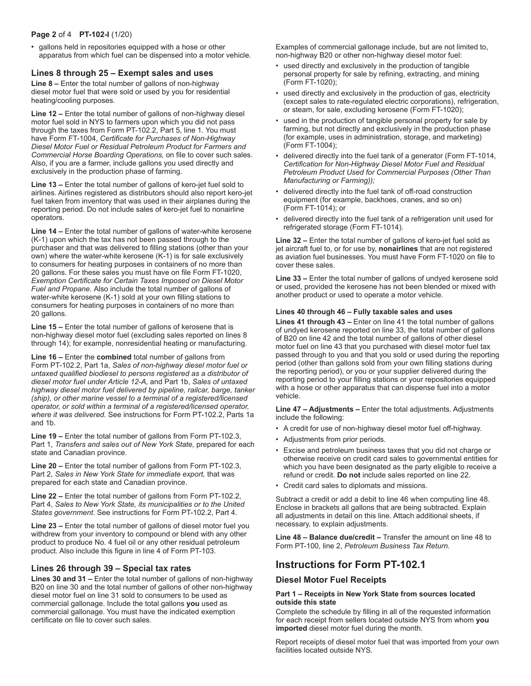## **Page 2** of 4 **PT-102-I** (1/20)

• gallons held in repositories equipped with a hose or other apparatus from which fuel can be dispensed into a motor vehicle.

## **Lines 8 through 25 – Exempt sales and uses**

**Line 8 –** Enter the total number of gallons of non-highway diesel motor fuel that were sold or used by you for residential heating/cooling purposes.

**Line 12 –** Enter the total number of gallons of non-highway diesel motor fuel sold in NYS to farmers upon which you did not pass through the taxes from Form PT-102.2, Part 5, line 1. You must have Form FT-1004, *Certificate for Purchases of Non-Highway Diesel Motor Fuel or Residual Petroleum Product for Farmers and Commercial Horse Boarding Operations,* on file to cover such sales. Also, if you are a farmer, include gallons you used directly and exclusively in the production phase of farming.

**Line 13 –** Enter the total number of gallons of kero-jet fuel sold to airlines. Airlines registered as distributors should also report kero-jet fuel taken from inventory that was used in their airplanes during the reporting period. Do not include sales of kero-jet fuel to nonairline operators.

**Line 14 –** Enter the total number of gallons of water-white kerosene (K-1) upon which the tax has not been passed through to the purchaser and that was delivered to filling stations (other than your own) where the water-white kerosene (K-1) is for sale exclusively to consumers for heating purposes in containers of no more than 20 gallons. For these sales you must have on file Form FT-1020, *Exemption Certificate for Certain Taxes Imposed on Diesel Motor Fuel and Propane.* Also include the total number of gallons of water-white kerosene (K-1) sold at your own filling stations to consumers for heating purposes in containers of no more than 20 gallons.

**Line 15 –** Enter the total number of gallons of kerosene that is non-highway diesel motor fuel (excluding sales reported on lines 8 through 14); for example, nonresidential heating or manufacturing.

**Line 16 –** Enter the **combined** total number of gallons from Form PT-102.2, Part 1a, *Sales of non-highway diesel motor fuel or untaxed qualified biodiesel to persons registered as a distributor of diesel motor fuel under Article 12-A,* and Part 1b, *Sales of untaxed highway diesel motor fuel delivered by pipeline, railcar, barge, tanker (ship), or other marine vessel to a terminal of a registered/licensed operator, or sold within a terminal of a registered/licensed operator, where it was delivered.* See instructions for Form PT-102.2, Parts 1a and 1b.

**Line 19 –** Enter the total number of gallons from Form PT-102.3, Part 1, *Transfers and sales out of New York State,* prepared for each state and Canadian province.

**Line 20 –** Enter the total number of gallons from Form PT-102.3, Part 2, *Sales in New York State for immediate export,* that was prepared for each state and Canadian province.

**Line 22 –** Enter the total number of gallons from Form PT-102.2, Part 4, *Sales to New York State, its municipalities or to the United States government*. See instructions for Form PT-102.2, Part 4.

**Line 23 –** Enter the total number of gallons of diesel motor fuel you withdrew from your inventory to compound or blend with any other product to produce No. 4 fuel oil or any other residual petroleum product. Also include this figure in line 4 of Form PT-103.

## **Lines 26 through 39 – Special tax rates**

**Lines 30 and 31 – Enter the total number of gallons of non-highway** B20 on line 30 and the total number of gallons of other non-highway diesel motor fuel on line 31 sold to consumers to be used as commercial gallonage. Include the total gallons **you** used as commercial gallonage. You must have the indicated exemption certificate on file to cover such sales.

Examples of commercial gallonage include, but are not limited to, non-highway B20 or other non-highway diesel motor fuel:

- used directly and exclusively in the production of tangible personal property for sale by refining, extracting, and mining (Form FT-1020);
- used directly and exclusively in the production of gas, electricity (except sales to rate-regulated electric corporations), refrigeration, or steam, for sale, excluding kerosene (Form FT-1020);
- used in the production of tangible personal property for sale by farming, but not directly and exclusively in the production phase (for example, uses in administration, storage, and marketing) (Form FT-1004);
- delivered directly into the fuel tank of a generator (Form FT-1014, *Certification for Non-Highway Diesel Motor Fuel and Residual Petroleum Product Used for Commercial Purposes (Other Than Manufacturing or Farming));*
- delivered directly into the fuel tank of off-road construction equipment (for example, backhoes, cranes, and so on) (Form FT-1014); or
- delivered directly into the fuel tank of a refrigeration unit used for refrigerated storage (Form FT-1014).

Line 32 – Enter the total number of gallons of kero-jet fuel sold as jet aircraft fuel to, or for use by, **nonairlines** that are not registered as aviation fuel businesses. You must have Form FT-1020 on file to cover these sales.

**Line 33 –** Enter the total number of gallons of undyed kerosene sold or used, provided the kerosene has not been blended or mixed with another product or used to operate a motor vehicle.

## **Lines 40 through 46 – Fully taxable sales and uses**

**Lines 41 through 43 –** Enter on line 41 the total number of gallons of undyed kerosene reported on line 33, the total number of gallons of B20 on line 42 and the total number of gallons of other diesel motor fuel on line 43 that you purchased with diesel motor fuel tax passed through to you and that you sold or used during the reporting period (other than gallons sold from your own filling stations during the reporting period), or you or your supplier delivered during the reporting period to your filling stations or your repositories equipped with a hose or other apparatus that can dispense fuel into a motor vehicle.

**Line 47 – Adjustments –** Enter the total adjustments. Adjustments include the following:

- A credit for use of non-highway diesel motor fuel off-highway.
- Adjustments from prior periods.
- Excise and petroleum business taxes that you did not charge or otherwise receive on credit card sales to governmental entities for which you have been designated as the party eligible to receive a refund or credit. **Do not** include sales reported on line 22.
- Credit card sales to diplomats and missions.

Subtract a credit or add a debit to line 46 when computing line 48. Enclose in brackets all gallons that are being subtracted. Explain all adjustments in detail on this line. Attach additional sheets, if necessary, to explain adjustments.

**Line 48 – Balance due/credit –** Transfer the amount on line 48 to Form PT-100, line 2, *Petroleum Business Tax Return.*

# **Instructions for Form PT-102.1**

## **Diesel Motor Fuel Receipts**

## **Part 1 – Receipts in New York State from sources located outside this state**

Complete the schedule by filling in all of the requested information for each receipt from sellers located outside NYS from whom **you imported** diesel motor fuel during the month.

Report receipts of diesel motor fuel that was imported from your own facilities located outside NYS.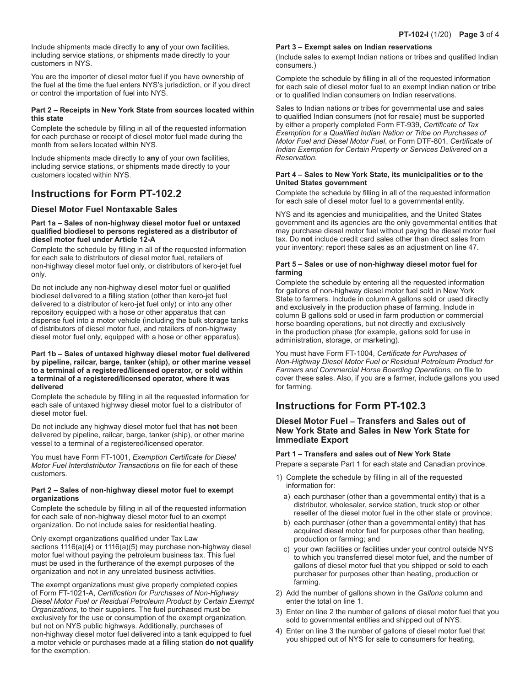Include shipments made directly to **any** of your own facilities, including service stations, or shipments made directly to your customers in NYS.

You are the importer of diesel motor fuel if you have ownership of the fuel at the time the fuel enters NYS's jurisdiction, or if you direct or control the importation of fuel into NYS.

### **Part 2 – Receipts in New York State from sources located within this state**

Complete the schedule by filling in all of the requested information for each purchase or receipt of diesel motor fuel made during the month from sellers located within NYS.

Include shipments made directly to **any** of your own facilities, including service stations, or shipments made directly to your customers located within NYS.

# **Instructions for Form PT-102.2**

## **Diesel Motor Fuel Nontaxable Sales**

### **Part 1a – Sales of non-highway diesel motor fuel or untaxed qualified biodiesel to persons registered as a distributor of diesel motor fuel under Article 12-A**

Complete the schedule by filling in all of the requested information for each sale to distributors of diesel motor fuel, retailers of non-highway diesel motor fuel only, or distributors of kero-jet fuel only.

Do not include any non-highway diesel motor fuel or qualified biodiesel delivered to a filling station (other than kero-jet fuel delivered to a distributor of kero-jet fuel only) or into any other repository equipped with a hose or other apparatus that can dispense fuel into a motor vehicle (including the bulk storage tanks of distributors of diesel motor fuel, and retailers of non-highway diesel motor fuel only, equipped with a hose or other apparatus).

### **Part 1b – Sales of untaxed highway diesel motor fuel delivered by pipeline, railcar, barge, tanker (ship), or other marine vessel to a terminal of a registered/licensed operator, or sold within a terminal of a registered/licensed operator, where it was delivered**

Complete the schedule by filling in all the requested information for each sale of untaxed highway diesel motor fuel to a distributor of diesel motor fuel.

Do not include any highway diesel motor fuel that has **not** been delivered by pipeline, railcar, barge, tanker (ship), or other marine vessel to a terminal of a registered/licensed operator.

You must have Form FT-1001, *Exemption Certificate for Diesel Motor Fuel Interdistributor Transactions* on file for each of these customers.

### **Part 2 – Sales of non-highway diesel motor fuel to exempt organizations**

Complete the schedule by filling in all of the requested information for each sale of non-highway diesel motor fuel to an exempt organization. Do not include sales for residential heating.

Only exempt organizations qualified under Tax Law sections 1116(a)(4) or 1116(a)(5) may purchase non-highway diesel motor fuel without paying the petroleum business tax. This fuel must be used in the furtherance of the exempt purposes of the organization and not in any unrelated business activities.

The exempt organizations must give properly completed copies of Form FT-1021-A, *Certification for Purchases of Non-Highway Diesel Motor Fuel or Residual Petroleum Product by Certain Exempt Organizations*, to their suppliers. The fuel purchased must be exclusively for the use or consumption of the exempt organization, but not on NYS public highways. Additionally, purchases of non-highway diesel motor fuel delivered into a tank equipped to fuel a motor vehicle or purchases made at a filling station **do not qualify**  for the exemption.

### **Part 3 – Exempt sales on Indian reservations**

(Include sales to exempt Indian nations or tribes and qualified Indian consumers.)

Complete the schedule by filling in all of the requested information for each sale of diesel motor fuel to an exempt Indian nation or tribe or to qualified Indian consumers on Indian reservations.

Sales to Indian nations or tribes for governmental use and sales to qualified Indian consumers (not for resale) must be supported by either a properly completed Form FT-939, *Certificate of Tax Exemption for a Qualified Indian Nation or Tribe on Purchases of Motor Fuel and Diesel Motor Fuel*, or Form DTF-801, *Certificate of Indian Exemption for Certain Property or Services Delivered on a Reservation.*

### **Part 4 – Sales to New York State, its municipalities or to the United States government**

Complete the schedule by filling in all of the requested information for each sale of diesel motor fuel to a governmental entity.

NYS and its agencies and municipalities, and the United States government and its agencies are the only governmental entities that may purchase diesel motor fuel without paying the diesel motor fuel tax. Do **not** include credit card sales other than direct sales from your inventory; report these sales as an adjustment on line 47.

## **Part 5 – Sales or use of non-highway diesel motor fuel for farming**

Complete the schedule by entering all the requested information for gallons of non-highway diesel motor fuel sold in New York State to farmers. Include in column A gallons sold or used directly and exclusively in the production phase of farming. Include in column B gallons sold or used in farm production or commercial horse boarding operations, but not directly and exclusively in the production phase (for example, gallons sold for use in administration, storage, or marketing).

You must have Form FT-1004, *Certificate for Purchases of Non-Highway Diesel Motor Fuel or Residual Petroleum Product for Farmers and Commercial Horse Boarding Operations,* on file to cover these sales. Also, if you are a farmer, include gallons you used for farming.

# **Instructions for Form PT-102.3**

## **Diesel Motor Fuel – Transfers and Sales out of New York State and Sales in New York State for Immediate Export**

## **Part 1 – Transfers and sales out of New York State**

Prepare a separate Part 1 for each state and Canadian province.

- 1) Complete the schedule by filling in all of the requested information for:
	- a) each purchaser (other than a governmental entity) that is a distributor, wholesaler, service station, truck stop or other reseller of the diesel motor fuel in the other state or province;
	- b) each purchaser (other than a governmental entity) that has acquired diesel motor fuel for purposes other than heating, production or farming; and
	- c) your own facilities or facilities under your control outside NYS to which you transferred diesel motor fuel, and the number of gallons of diesel motor fuel that you shipped or sold to each purchaser for purposes other than heating, production or farming.
- 2) Add the number of gallons shown in the *Gallons* column and enter the total on line 1.
- 3) Enter on line 2 the number of gallons of diesel motor fuel that you sold to governmental entities and shipped out of NYS.
- 4) Enter on line 3 the number of gallons of diesel motor fuel that you shipped out of NYS for sale to consumers for heating,